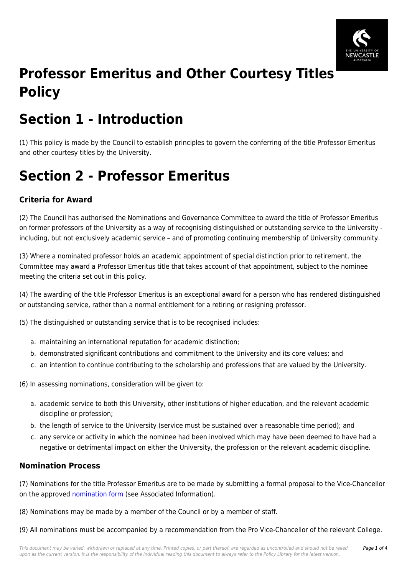

# **Professor Emeritus and Other Courtesy Titles Policy**

# **Section 1 - Introduction**

(1) This policy is made by the Council to establish principles to govern the conferring of the title Professor Emeritus and other courtesy titles by the University.

# **Section 2 - Professor Emeritus**

## **Criteria for Award**

(2) The Council has authorised the Nominations and Governance Committee to award the title of Professor Emeritus on former professors of the University as a way of recognising distinguished or outstanding service to the University including, but not exclusively academic service – and of promoting continuing membership of University community.

(3) Where a nominated professor holds an academic appointment of special distinction prior to retirement, the Committee may award a Professor Emeritus title that takes account of that appointment, subject to the nominee meeting the criteria set out in this policy.

(4) The awarding of the title Professor Emeritus is an exceptional award for a person who has rendered distinguished or outstanding service, rather than a normal entitlement for a retiring or resigning professor.

(5) The distinguished or outstanding service that is to be recognised includes:

- a. maintaining an international reputation for academic distinction;
- b. demonstrated significant contributions and commitment to the University and its core values; and
- c. an intention to continue contributing to the scholarship and professions that are valued by the University.

(6) In assessing nominations, consideration will be given to:

- a. academic service to both this University, other institutions of higher education, and the relevant academic discipline or profession;
- b. the length of service to the University (service must be sustained over a reasonable time period); and
- c. any service or activity in which the nominee had been involved which may have been deemed to have had a negative or detrimental impact on either the University, the profession or the relevant academic discipline.

### **Nomination Process**

(7) Nominations for the title Professor Emeritus are to be made by submitting a formal proposal to the Vice-Chancellor on the approved [nomination form](https://policies.newcastle.edu.au/download.php?id=202&version=2&associated) (see Associated Information).

(8) Nominations may be made by a member of the Council or by a member of staff.

(9) All nominations must be accompanied by a recommendation from the Pro Vice-Chancellor of the relevant College.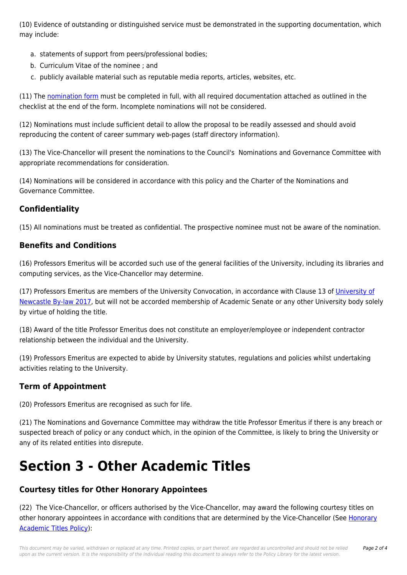(10) Evidence of outstanding or distinguished service must be demonstrated in the supporting documentation, which may include:

- a. statements of support from peers/professional bodies;
- b. Curriculum Vitae of the nominee ; and
- c. publicly available material such as reputable media reports, articles, websites, etc.

(11) The [nomination form](https://policies.newcastle.edu.au/download.php?id=202&version=2&associated) must be completed in full, with all required documentation attached as outlined in the checklist at the end of the form. Incomplete nominations will not be considered.

(12) Nominations must include sufficient detail to allow the proposal to be readily assessed and should avoid reproducing the content of career summary web-pages (staff directory information).

(13) The Vice-Chancellor will present the nominations to the Council's Nominations and Governance Committee with appropriate recommendations for consideration.

(14) Nominations will be considered in accordance with this policy and the Charter of the Nominations and Governance Committee.

### **Confidentiality**

(15) All nominations must be treated as confidential. The prospective nominee must not be aware of the nomination.

### **Benefits and Conditions**

(16) Professors Emeritus will be accorded such use of the general facilities of the University, including its libraries and computing services, as the Vice-Chancellor may determine.

(17) Professors Emeritus are members of the University Convocation, in accordance with Clause 13 of [University of](https://policies.newcastle.edu.au/document/view-current.php?id=13) [Newcastle By-law 2017](https://policies.newcastle.edu.au/document/view-current.php?id=13), but will not be accorded membership of Academic Senate or any other University body solely by virtue of holding the title.

(18) Award of the title Professor Emeritus does not constitute an employer/employee or independent contractor relationship between the individual and the University.

(19) Professors Emeritus are expected to abide by University statutes, regulations and policies whilst undertaking activities relating to the University.

## **Term of Appointment**

(20) Professors Emeritus are recognised as such for life.

(21) The Nominations and Governance Committee may withdraw the title Professor Emeritus if there is any breach or suspected breach of policy or any conduct which, in the opinion of the Committee, is likely to bring the University or any of its related entities into disrepute.

# **Section 3 - Other Academic Titles**

## **Courtesy titles for Other Honorary Appointees**

(22) The Vice-Chancellor, or officers authorised by the Vice-Chancellor, may award the following courtesy titles on other honorary appointees in accordance with conditions that are determined by the Vice-Chancellor (See [Honorary](https://policies.newcastle.edu.au/document/view-current.php?id=147) [Academic Titles Policy\)](https://policies.newcastle.edu.au/document/view-current.php?id=147):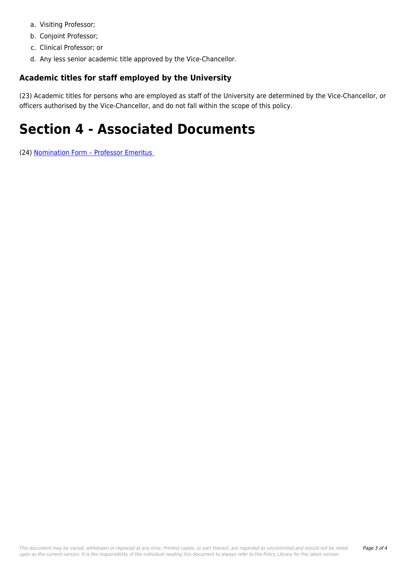- a. Visiting Professor;
- b. Conjoint Professor;
- c. Clinical Professor; or
- d. Any less senior academic title approved by the Vice-Chancellor.

#### **Academic titles for staff employed by the University**

(23) Academic titles for persons who are employed as staff of the University are determined by the Vice-Chancellor, or officers authorised by the Vice-Chancellor, and do not fall within the scope of this policy.

# **Section 4 - Associated Documents**

(24) [Nomination Form – Professor Emeritus](https://policies.newcastle.edu.au/download.php?id=288&version=3&associated)